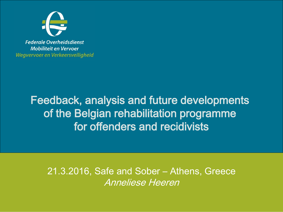

**Federale Overheidsdienst Mobiliteit en Vervoer** Wegvervoer en Verkeersveiligheid

### Feedback, analysis and future developments of the Belgian rehabilitation programme for offenders and recidivists

21.3.2016, Safe and Sober – Athens, Greece Anneliese Heeren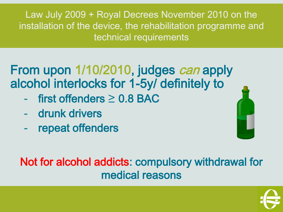Law July 2009 + Royal Decrees November 2010 on the installation of the device, the rehabilitation programme and technical requirements

## From upon 1/10/2010, judges can apply alcohol interlocks for 1-5y/ definitely to

- $first$  offenders  $\geq 0.8$  BAC
- drunk drivers
- repeat offenders

## Not for alcohol addicts: compulsory withdrawal for medical reasons

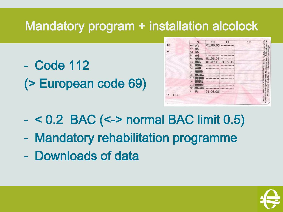# Mandatory program + installation alcolock

- Code 112 (> European code 69)

| 01.06.05<br>AM<br>$\pi$<br>A1<br>$\vec{v}$<br>A2<br>do<br>A<br><b>Bank</b><br>01.06.05<br>B<br><b>AGRANGE</b><br>01.09.10 01.09.15<br>C1<br><b>PERSONAL</b><br>C<br>꼬<br><b>READ</b><br>D <sub>1</sub><br>الإساري<br>D<br>BE<br>www.edilalay<br>$C1E$ <sub>posito</sub><br>CE<br><b>Property</b><br>DIE SERV<br>DE<br><b>Construction</b><br>$\frac{dN_{\rm c}}{dN_{\rm G}}$<br>01.06.05<br>G<br>$- -$ |          | 9. | 10. | 11. | 12. |                            |
|--------------------------------------------------------------------------------------------------------------------------------------------------------------------------------------------------------------------------------------------------------------------------------------------------------------------------------------------------------------------------------------------------------|----------|----|-----|-----|-----|----------------------------|
|                                                                                                                                                                                                                                                                                                                                                                                                        | 13.      |    |     |     |     | 4a.Datum van afgilto       |
|                                                                                                                                                                                                                                                                                                                                                                                                        |          |    |     |     |     |                            |
|                                                                                                                                                                                                                                                                                                                                                                                                        | 14.      |    |     |     |     |                            |
|                                                                                                                                                                                                                                                                                                                                                                                                        |          |    |     |     |     |                            |
|                                                                                                                                                                                                                                                                                                                                                                                                        |          |    |     |     |     |                            |
|                                                                                                                                                                                                                                                                                                                                                                                                        |          |    |     |     |     |                            |
|                                                                                                                                                                                                                                                                                                                                                                                                        |          |    |     |     |     |                            |
|                                                                                                                                                                                                                                                                                                                                                                                                        |          |    |     |     |     |                            |
|                                                                                                                                                                                                                                                                                                                                                                                                        |          |    |     |     |     |                            |
|                                                                                                                                                                                                                                                                                                                                                                                                        |          |    |     |     |     |                            |
|                                                                                                                                                                                                                                                                                                                                                                                                        |          |    |     |     |     | 3.Geboortedatum en -plaats |
|                                                                                                                                                                                                                                                                                                                                                                                                        |          |    |     |     |     |                            |
|                                                                                                                                                                                                                                                                                                                                                                                                        |          |    |     |     |     |                            |
|                                                                                                                                                                                                                                                                                                                                                                                                        |          |    |     |     |     | 1.Naam 2.Voornaam          |
|                                                                                                                                                                                                                                                                                                                                                                                                        |          |    |     |     |     |                            |
|                                                                                                                                                                                                                                                                                                                                                                                                        | 12.01.06 |    |     |     |     |                            |

- < 0.2 BAC (<-> normal BAC limit 0.5)
- Mandatory rehabilitation programme
- Downloads of data

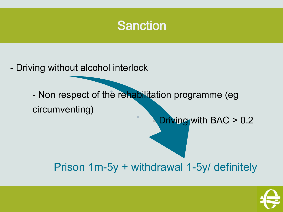## Sanction

- Driving without alcohol interlock

- Non respect of the rehabilitation programme (eg circumventing)

 $\bullet$ 

Driving with BAC > 0.2

### Prison 1m-5y + withdrawal 1-5y/ definitely

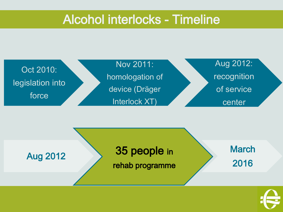### Alcohol interlocks - Timeline





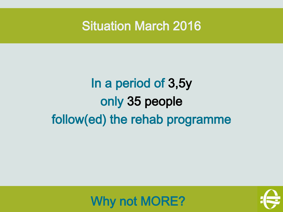Situation March 2016

# In a period of 3,5y only 35 people follow(ed) the rehab programme



Why not MORE?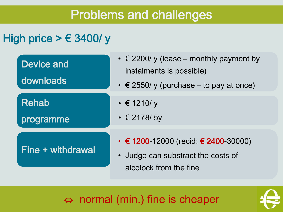## Problems and challenges

#### High price  $> \epsilon$  3400/ y

| <b>Device and</b><br>downloads | $\cdot \in$ 2200/ y (lease – monthly payment by<br>instalments is possible)<br>$\cdot \in$ 2550/y (purchase – to pay at once) |  |  |
|--------------------------------|-------------------------------------------------------------------------------------------------------------------------------|--|--|
| <b>Rehab</b><br>programme      | $\cdot \in 1210$ /y<br>$\cdot \in 2178/5y$                                                                                    |  |  |
| Fine + withdrawal              | • € 1200-12000 (recid: € 2400-30000)<br>Judge can substract the costs of<br>alcolock from the fine                            |  |  |

⇔ normal (min.) fine is cheaper

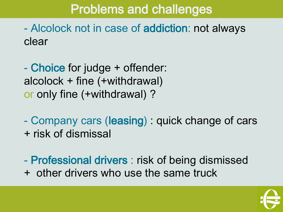# Problems and challenges

- Alcolock not in case of addiction: not always clear

- Choice for judge + offender: alcolock + fine (+withdrawal) or only fine (+withdrawal) ?

- Company cars (leasing) : quick change of cars + risk of dismissal

- Professional drivers : risk of being dismissed + other drivers who use the same truck

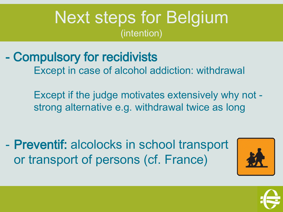# Next steps for Belgium (intention)

- Compulsory for recidivists Except in case of alcohol addiction: withdrawal

> Except if the judge motivates extensively why not strong alternative e.g. withdrawal twice as long

- Preventif: alcolocks in school transport or transport of persons (cf. France)



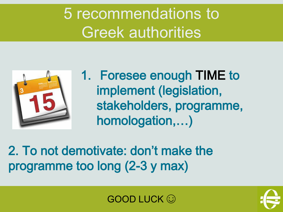5 recommendations to Greek authorities



1. Foresee enough TIME to implement (legislation, stakeholders, programme, homologation,…)

2. To not demotivate: don't make the programme too long (2-3 y max)



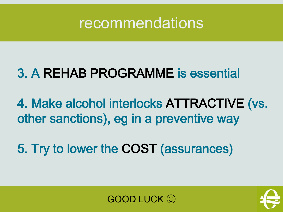

# 3. A REHAB PROGRAMME is essential

4. Make alcohol interlocks ATTRACTIVE (vs. other sanctions), eg in a preventive way

5. Try to lower the COST (assurances)